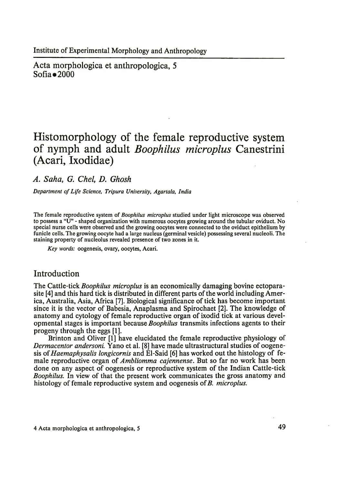Acta morphologica et anthropologica, 5  $Sofia = 2000$ 

# **Histomorphology of the female reproductive system of nymph and adult** *Boophilus microplus* **Canestrini (Acari, Ixodidae)**

## *A. Saha, G. Chel, D. Ghosh*

**Department of Life Science, Tripura University, Agartala, India** 

The female reproductive system of *Boophilus microplus* studied under light microscope was observed to possess a " $\bar{U}$ " - shaped organization with numerous oocytes growing around the tubular oviduct. No special nurse cells were observed and the growing oocytes were connected to the oviduct epithelium by funicle cells. The growing oocyte had a large nucleus (germinal vesicle) possessing several nucleoli. The staining property of nucleolus revealed presence of two zones in it.

*Key words:* oogenesis, ovary, oocytes, Acari.

### Introduction

The Cattle-tick *Boophilus microplus* is an economically damaging bovine ectoparasite [4] and this hard tick is distributed in different parts of the world including America, Australia, Asia, Africa [7]. Biological significance of tick has become important since it is the vector of Babesia, Anaplasma and Spirochaet [2]. The knowledge of anatomy and cytology of female reproductive organ of ixodid tick at various developmental stages is important because *Boophilus* transmits infections agents to their progeny through the eggs [1].

Brinton and Oliver [1] have elucidated the female reproductive physiology of *Dermacentor andersoni.* Yano et al. [8] have made ultrastructural studies of oogenesis of *Haemaphysalis longicornis* and El-Said [6] has worked out the histology of female reproductive organ of *Ambliomma cajennense.* But so far no work has been done on any aspect of oogenesis or reproductive system of the Indian Cattle-tick *Boophilus.* In view of that the present work communicates the gross anatomy and histology of female reproductive system and oogenesis of *B. microplus.*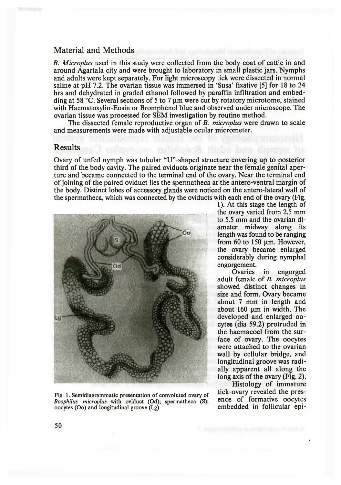## Material and Methods

*B. Microplus* used in this study were collected from the body-coat of cattle in and around Agartala city and were brought to laboratory in small plastic jars. Nymphs and adults were kept separately. For light microscopy tick were dissected in normal saline at pH 7.2. The ovarian tissue was immersed in 'Susa' fixative [5] for 18 to 24 hrs and dehydrated in graded ethanol followed by paraffin infiltration and embedding at 58  $\degree$ C. Several sections of 5 to 7 µm were cut by rotatory microtome, stained with Haematoxylin-Eosin or Bromphenol blue and observed under microscope. The ovarian tissue was processed for SEM investigation by routine method.

The dissected female reproductive organ of *B. microplus* were drawn to scale and measurements were made with adjustable ocular micrometer.

### Results

Ovary of unfed nymph was tubular "U"-shaped structure covering up to posterior third of the body cavity. The paired oviducts originate near the female genital aperture and became connected to the terminal end of the ovary. Near the terminal end of joining of the paired oviduct lies the spermatheca at the antero-ventral margin of the body. Distinct lobes of accessory glands were noticed on the antero-lateral wall of the spermatheca, which was connected by the oviducts with each end of the ovary (Fig.



Fig. 1. Semidiagrammatic presentation of convoluted ovary of *tick-ovary revealed the pres-*<br>Regulative microplus with oviduat (Od); presentations (S); ence of formative oocytes *Boophilus microplus* with oviduct (Od); spermatheca (S); ence of formative oocytes oocytes on the original prove (Lg) oocytes (Oo) and longitudinal groove  $(Lg)$ 

1). At this stage the length of the ovary varied from 2.5 mm to 5.5 mm and the ovarian diameter midway along its length was found to be ranging from  $60$  to  $150 \mu m$ . However, the ovary became enlarged considerably during nymphal engorgement.

Ovaries in engorged adult female of *B. microplus* showed distinct changes in size and form. Ovary became about 7 mm in length and about  $160 \mu m$  in width. The developed and enlarged oocytes (dia 59.2) protruded in the haemacoel from the surface of ovary. The oocytes were attached to the ovarian wall by cellular bridge, and longitudinal groove was radially apparent all along the long axis of the ovary (Fig. 2).

Histology of immature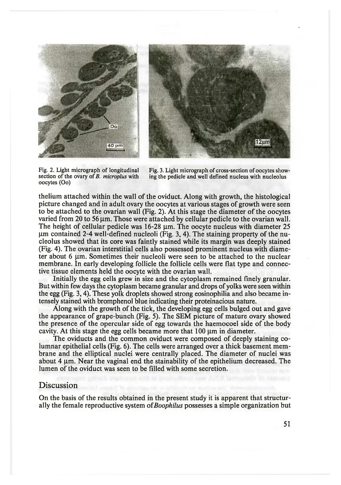



oocytes (Oo)

Fig. 2. Light micrograph of longitudinal Fig. 3. Light micrograph of cross-section of oocytes show-<br>section of the ovary of B. microplus with ing the pedicle and well defined nucleus with nucleolus ing the pedicle and well defined nucleus with nucleolus

thelium attached within the wall of the oviduct. Along with growth, the histological picture changed and in adult ovary the oocytes at various stages of growth were seen to be attached to the ovarian wall (Fig. 2). At this stage the diameter of the oocytes varied from 20 to 56  $\mu$ m. Those were attached by cellular pedicle to the ovarian wall. The height of cellular pedicle was  $16-28 \mu$ m. The oocyte nucleus with diameter 25  $\mu$ m contained 2-4 well-defined nucleoli (Fig. 3, 4). The staining property of the nucleolus showed that its core was faintly stained while its margin was deeply stained (Fig. 4). The ovarian interstitial cells also possessed prominent nucleus with diameter about 6 µm. Sometimes their nucleoli were seen to be attached to the nuclear membrane. In early developing follicle the follicle cells were flat type and connective tissue elements held the oocyte with the ovarian wall.

Initially the egg cells grew in size and the cytoplasm remained finely granular. But within few days the cytoplasm became granular and drops of yolks were seen within the egg (Fig. 3,4). These yolk droplets showed strong eosinophilia and also became intensely stained with bromphenol blue indicating their proteinacious nature.

Along with the growth of the tick, the developing egg cells bulged out and gave the appearance of grape-bunch (Fig. 5). The SEM picture of mature ovary showed the presence of the opercular side of egg towards the haemocoel side of the body cavity. At this stage the egg cells became more that  $100 \mu m$  in diameter.

The oviducts and the common oviduct were composed of deeply staining columnar epithelial cells (Fig. 6). The cells were arranged over a thick basement membrane and the elliptical nuclei were centrally placed. The diameter of nuclei was about  $4 \mu$ m. Near the vaginal end the stainability of the epithelium decreased. The lumen of the oviduct was seen to be filled with some secretion.

#### Discussion

On the basis of the results obtained in the present study it is apparent that structurally the female reproductive system of*Boophilus* possesses a simple organization but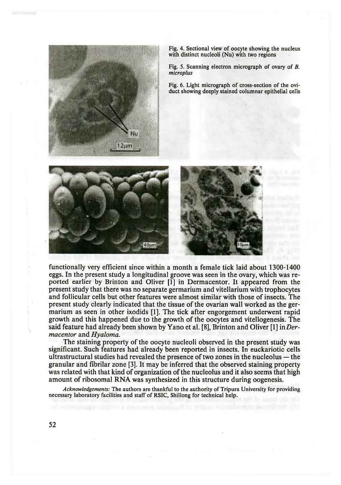

Fig. 4. Sectional view of oocyte showing the nucleus with distinct nucleoli (Nu) with two regions

Fig. 5. Scanning electron micrograph of ovary of *B. microplus*

Fig. 6. Light micrograph of cross-section of the oviduct showing deeply stained columnar epithelial cells



functionally very efficient since within a month a female tick laid about 1300-1400 eggs. In the present study a longitudinal groove was seen in the ovary, which was reported earlier by Brinton and Oliver [1] in Dermacentor. It appeared from the present study that there was no separate germarium and vitellarium with trophocytes and follicular cells but other features were almost similar with those of insects. The present study clearly indicated that the tissue of the ovarian wall worked as the germarium as seen in other ixodids [1]. The tick after engorgement underwent rapid growth and this happened due to the growth of the oocytes and vitellogenesis. The said feature had already been shown by Yano et al. [8], Brinton and Oliver [1] in *Dermacentor* and *Hyaloma.*

The staining property of the oocyte nucleoli observed in the present study was significant. Such features had already been reported in insects. In euckariotic cells ultrastructural studies had revealed the presence of two zones in the nucleolus — the granular and fibrilar zone [3]. It may be inferred that the observed staining property was related with that kind of organization of the nucleolus and it also seems that high amount of ribosomal RNA was synthesized in this structure during oogenesis.

*Acknowledgements:* The authors are thankful to the authority of Tripura University for providing necessary laboratory facilities and staff of RSIC, Shillong for technical help.